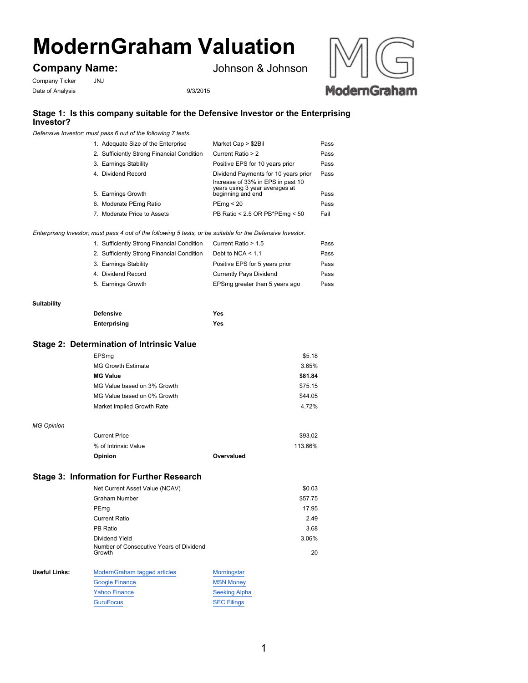# **ModernGraham Valuation**

## **Company Name:**

Johnson & Johnson

Company Ticker JNJ Date of Analysis 9/3/2015



## **Stage 1: Is this company suitable for the Defensive Investor or the Enterprising Investor?**

*Defensive Investor; must pass 6 out of the following 7 tests.*

| 1. Adequate Size of the Enterprise         | Market Cap > \$2Bil                                                                                         | Pass |
|--------------------------------------------|-------------------------------------------------------------------------------------------------------------|------|
| 2. Sufficiently Strong Financial Condition | Current Ratio > 2                                                                                           | Pass |
| 3. Earnings Stability                      | Positive EPS for 10 years prior                                                                             | Pass |
| 4. Dividend Record                         | Dividend Payments for 10 years prior<br>Increase of 33% in EPS in past 10<br>years using 3 year averages at | Pass |
| 5. Earnings Growth                         | beginning and end                                                                                           | Pass |
| 6. Moderate PEmg Ratio                     | PEmq < 20                                                                                                   | Pass |
| 7. Moderate Price to Assets                | PB Ratio < 2.5 OR PB*PEmg < 50                                                                              | Fail |

#### *Enterprising Investor; must pass 4 out of the following 5 tests, or be suitable for the Defensive Investor.*

| 1. Sufficiently Strong Financial Condition | Current Ratio > 1.5            | Pass |
|--------------------------------------------|--------------------------------|------|
| 2. Sufficiently Strong Financial Condition | Debt to NCA $<$ 1.1            | Pass |
| 3. Earnings Stability                      | Positive EPS for 5 years prior | Pass |
| 4. Dividend Record                         | <b>Currently Pays Dividend</b> | Pass |
| 5. Earnings Growth                         | EPSmg greater than 5 years ago | Pass |

#### **Suitability**

| <b>Defensive</b> | Yes |
|------------------|-----|
| Enterprising     | Yes |

### **Stage 2: Determination of Intrinsic Value**

|                   | EPSmq                                            |            | \$5.18  |
|-------------------|--------------------------------------------------|------------|---------|
|                   | <b>MG Growth Estimate</b>                        |            | 3.65%   |
|                   | <b>MG Value</b>                                  |            | \$81.84 |
|                   | MG Value based on 3% Growth                      |            | \$75.15 |
|                   | MG Value based on 0% Growth                      |            | \$44.05 |
|                   | Market Implied Growth Rate                       |            | 4.72%   |
|                   |                                                  |            |         |
| <b>MG Opinion</b> |                                                  |            |         |
|                   | <b>Current Price</b>                             |            | \$93.02 |
|                   | % of Intrinsic Value                             |            | 113.66% |
|                   | Opinion                                          | Overvalued |         |
|                   |                                                  |            |         |
|                   | <b>Stage 3: Information for Further Research</b> |            |         |
|                   | Net Current Asset Value (NCAV)                   |            | \$0.03  |
|                   | <b>Graham Number</b>                             |            | \$57.75 |
|                   | PEmg                                             |            | 17.95   |
|                   | <b>Current Ratio</b>                             |            | 2.49    |
|                   |                                                  |            |         |

PB Ratio 3.68 Dividend Yield 3.06% Number of Concoesitive Years of Dividend 3.06%

|               | Number of Consecutive Years of Dividend<br>Growth |                      | 20 |
|---------------|---------------------------------------------------|----------------------|----|
| Useful Links: | ModernGraham tagged articles                      | Morningstar          |    |
|               | <b>Google Finance</b>                             | <b>MSN Money</b>     |    |
|               | Yahoo Finance                                     | <b>Seeking Alpha</b> |    |

GuruFocus SEC Filings

1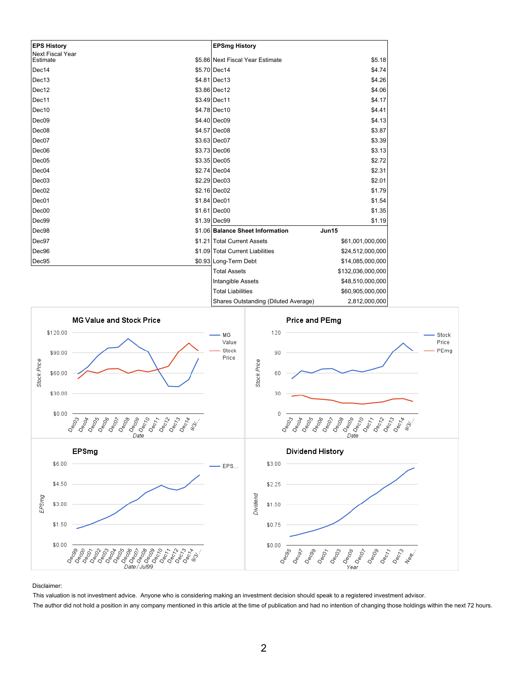| <b>EPS History</b>                  | <b>EPSmg History</b>                                 |
|-------------------------------------|------------------------------------------------------|
| <b>Next Fiscal Year</b><br>Estimate | \$5.86 Next Fiscal Year Estimate<br>\$5.18           |
| Dec14                               | \$5.70 Dec14<br>\$4.74                               |
| Dec13                               | \$4.81 Dec13<br>\$4.26                               |
| Dec12                               | \$3.86 Dec12<br>\$4.06                               |
| Dec11                               | \$4.17<br>\$3.49 Dec11                               |
| Dec10                               | \$4.78 Dec10<br>\$4.41                               |
| Dec09                               | \$4.40 Dec09<br>\$4.13                               |
| Dec08                               | \$4.57 Dec08<br>\$3.87                               |
| Dec07                               | \$3.39<br>\$3.63 Dec07                               |
| Dec <sub>06</sub>                   | \$3.73 Dec06<br>\$3.13                               |
| Dec <sub>05</sub>                   | \$2.72<br>$$3.35 $ Dec05                             |
| Dec04                               | \$2.74 Dec04<br>\$2.31                               |
| Dec <sub>03</sub>                   | \$2.29 Dec03<br>\$2.01                               |
| Dec <sub>02</sub>                   | \$1.79<br>\$2.16 Dec02                               |
| Dec01                               | \$1.84 Dec01<br>\$1.54                               |
| Dec00                               | \$1.61 Dec00<br>\$1.35                               |
| Dec99                               | \$1.39 Dec99<br>\$1.19                               |
| Dec98                               | \$1.06 Balance Sheet Information<br>Jun15            |
| Dec97                               | \$1.21 Total Current Assets<br>\$61,001,000,000      |
| Dec96                               | \$1.09 Total Current Liabilities<br>\$24,512,000,000 |
| Dec95                               | \$0.93 Long-Term Debt<br>\$14,085,000,000            |
|                                     | \$132,036,000,000<br><b>Total Assets</b>             |
|                                     | \$48,510,000,000<br>Intangible Assets                |
|                                     | \$60,905,000,000<br><b>Total Liabilities</b>         |



Disclaimer:

This valuation is not investment advice. Anyone who is considering making an investment decision should speak to a registered investment advisor.

The author did not hold a position in any company mentioned in this article at the time of publication and had no intention of changing those holdings within the next 72 hours.